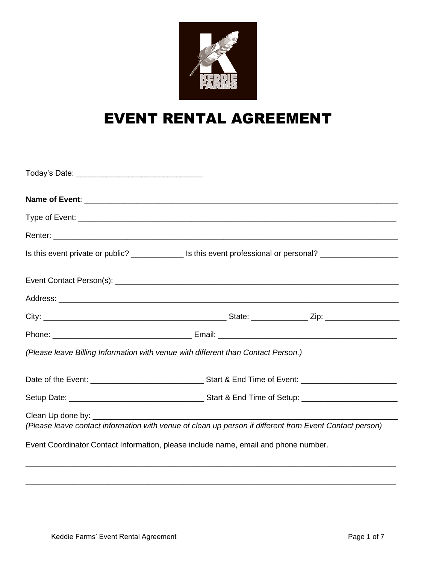

# EVENT RENTAL AGREEMENT

|                                                                                                         | Renter: <u>Communications and the communications</u> and the communications of the communications of the communication |
|---------------------------------------------------------------------------------------------------------|------------------------------------------------------------------------------------------------------------------------|
|                                                                                                         | Is this event private or public? _________________ Is this event professional or personal? ___________________         |
|                                                                                                         |                                                                                                                        |
|                                                                                                         |                                                                                                                        |
|                                                                                                         |                                                                                                                        |
|                                                                                                         |                                                                                                                        |
| (Please leave Billing Information with venue with different than Contact Person.)                       |                                                                                                                        |
|                                                                                                         |                                                                                                                        |
|                                                                                                         |                                                                                                                        |
| (Please leave contact information with venue of clean up person if different from Event Contact person) |                                                                                                                        |
| Event Coordinator Contact Information, please include name, email and phone number.                     |                                                                                                                        |

\_\_\_\_\_\_\_\_\_\_\_\_\_\_\_\_\_\_\_\_\_\_\_\_\_\_\_\_\_\_\_\_\_\_\_\_\_\_\_\_\_\_\_\_\_\_\_\_\_\_\_\_\_\_\_\_\_\_\_\_\_\_\_\_\_\_\_\_\_\_\_\_\_\_\_\_\_\_\_\_\_\_\_\_\_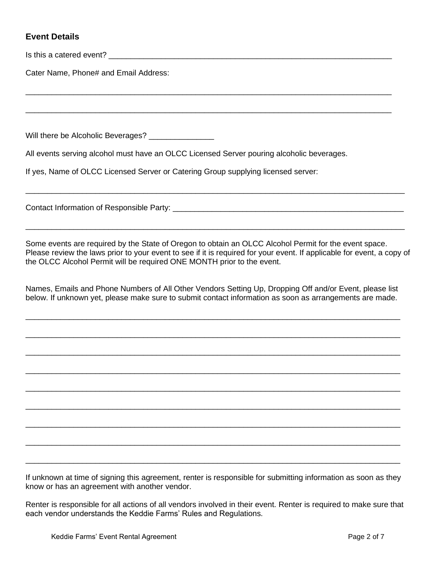#### **Event Details**

Is this a catered event?

Cater Name, Phone# and Email Address:

Will there be Alcoholic Beverages? \_\_\_\_\_\_\_\_\_\_\_\_\_\_\_

All events serving alcohol must have an OLCC Licensed Server pouring alcoholic beverages.

\_\_\_\_\_\_\_\_\_\_\_\_\_\_\_\_\_\_\_\_\_\_\_\_\_\_\_\_\_\_\_\_\_\_\_\_\_\_\_\_\_\_\_\_\_\_\_\_\_\_\_\_\_\_\_\_\_\_\_\_\_\_\_\_\_\_\_\_\_\_\_\_\_\_\_\_\_\_\_\_\_\_\_\_

\_\_\_\_\_\_\_\_\_\_\_\_\_\_\_\_\_\_\_\_\_\_\_\_\_\_\_\_\_\_\_\_\_\_\_\_\_\_\_\_\_\_\_\_\_\_\_\_\_\_\_\_\_\_\_\_\_\_\_\_\_\_\_\_\_\_\_\_\_\_\_\_\_\_\_\_\_\_\_\_\_\_\_\_

If yes, Name of OLCC Licensed Server or Catering Group supplying licensed server:

Contact Information of Responsible Party: \_\_\_\_\_\_\_\_\_\_\_\_\_\_\_\_\_\_\_\_\_\_\_\_\_\_\_\_\_\_\_\_\_\_\_\_\_\_\_\_\_\_\_\_\_\_\_\_\_\_\_\_\_

Some events are required by the State of Oregon to obtain an OLCC Alcohol Permit for the event space. Please review the laws prior to your event to see if it is required for your event. If applicable for event, a copy of the OLCC Alcohol Permit will be required ONE MONTH prior to the event.

\_\_\_\_\_\_\_\_\_\_\_\_\_\_\_\_\_\_\_\_\_\_\_\_\_\_\_\_\_\_\_\_\_\_\_\_\_\_\_\_\_\_\_\_\_\_\_\_\_\_\_\_\_\_\_\_\_\_\_\_\_\_\_\_\_\_\_\_\_\_\_\_\_\_\_\_\_\_\_\_\_\_\_\_\_\_\_

\_\_\_\_\_\_\_\_\_\_\_\_\_\_\_\_\_\_\_\_\_\_\_\_\_\_\_\_\_\_\_\_\_\_\_\_\_\_\_\_\_\_\_\_\_\_\_\_\_\_\_\_\_\_\_\_\_\_\_\_\_\_\_\_\_\_\_\_\_\_\_\_\_\_\_\_\_\_\_\_\_\_\_\_\_\_\_

Names, Emails and Phone Numbers of All Other Vendors Setting Up, Dropping Off and/or Event, please list below. If unknown yet, please make sure to submit contact information as soon as arrangements are made.

\_\_\_\_\_\_\_\_\_\_\_\_\_\_\_\_\_\_\_\_\_\_\_\_\_\_\_\_\_\_\_\_\_\_\_\_\_\_\_\_\_\_\_\_\_\_\_\_\_\_\_\_\_\_\_\_\_\_\_\_\_\_\_\_\_\_\_\_\_\_\_\_\_\_\_\_\_\_\_\_\_\_\_\_\_\_

\_\_\_\_\_\_\_\_\_\_\_\_\_\_\_\_\_\_\_\_\_\_\_\_\_\_\_\_\_\_\_\_\_\_\_\_\_\_\_\_\_\_\_\_\_\_\_\_\_\_\_\_\_\_\_\_\_\_\_\_\_\_\_\_\_\_\_\_\_\_\_\_\_\_\_\_\_\_\_\_\_\_\_\_\_\_

\_\_\_\_\_\_\_\_\_\_\_\_\_\_\_\_\_\_\_\_\_\_\_\_\_\_\_\_\_\_\_\_\_\_\_\_\_\_\_\_\_\_\_\_\_\_\_\_\_\_\_\_\_\_\_\_\_\_\_\_\_\_\_\_\_\_\_\_\_\_\_\_\_\_\_\_\_\_\_\_\_\_\_\_\_\_

\_\_\_\_\_\_\_\_\_\_\_\_\_\_\_\_\_\_\_\_\_\_\_\_\_\_\_\_\_\_\_\_\_\_\_\_\_\_\_\_\_\_\_\_\_\_\_\_\_\_\_\_\_\_\_\_\_\_\_\_\_\_\_\_\_\_\_\_\_\_\_\_\_\_\_\_\_\_\_\_\_\_\_\_\_\_

\_\_\_\_\_\_\_\_\_\_\_\_\_\_\_\_\_\_\_\_\_\_\_\_\_\_\_\_\_\_\_\_\_\_\_\_\_\_\_\_\_\_\_\_\_\_\_\_\_\_\_\_\_\_\_\_\_\_\_\_\_\_\_\_\_\_\_\_\_\_\_\_\_\_\_\_\_\_\_\_\_\_\_\_\_\_

\_\_\_\_\_\_\_\_\_\_\_\_\_\_\_\_\_\_\_\_\_\_\_\_\_\_\_\_\_\_\_\_\_\_\_\_\_\_\_\_\_\_\_\_\_\_\_\_\_\_\_\_\_\_\_\_\_\_\_\_\_\_\_\_\_\_\_\_\_\_\_\_\_\_\_\_\_\_\_\_\_\_\_\_\_\_

\_\_\_\_\_\_\_\_\_\_\_\_\_\_\_\_\_\_\_\_\_\_\_\_\_\_\_\_\_\_\_\_\_\_\_\_\_\_\_\_\_\_\_\_\_\_\_\_\_\_\_\_\_\_\_\_\_\_\_\_\_\_\_\_\_\_\_\_\_\_\_\_\_\_\_\_\_\_\_\_\_\_\_\_\_\_

\_\_\_\_\_\_\_\_\_\_\_\_\_\_\_\_\_\_\_\_\_\_\_\_\_\_\_\_\_\_\_\_\_\_\_\_\_\_\_\_\_\_\_\_\_\_\_\_\_\_\_\_\_\_\_\_\_\_\_\_\_\_\_\_\_\_\_\_\_\_\_\_\_\_\_\_\_\_\_\_\_\_\_\_\_\_

\_\_\_\_\_\_\_\_\_\_\_\_\_\_\_\_\_\_\_\_\_\_\_\_\_\_\_\_\_\_\_\_\_\_\_\_\_\_\_\_\_\_\_\_\_\_\_\_\_\_\_\_\_\_\_\_\_\_\_\_\_\_\_\_\_\_\_\_\_\_\_\_\_\_\_\_\_\_\_\_\_\_\_\_\_\_

If unknown at time of signing this agreement, renter is responsible for submitting information as soon as they know or has an agreement with another vendor.

Renter is responsible for all actions of all vendors involved in their event. Renter is required to make sure that each vendor understands the Keddie Farms' Rules and Regulations.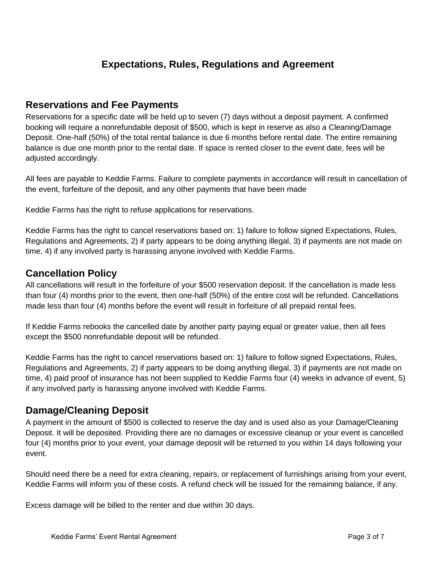# **Expectations, Rules, Regulations and Agreement**

#### **Reservations and Fee Payments**

Reservations for a specific date will be held up to seven (7) days without a deposit payment. A confirmed booking will require a nonrefundable deposit of \$500, which is kept in reserve as also a Cleaning/Damage Deposit. One-half (50%) of the total rental balance is due 6 months before rental date. The entire remaining balance is due one month prior to the rental date. If space is rented closer to the event date, fees will be adjusted accordingly.

All fees are payable to Keddie Farms. Failure to complete payments in accordance will result in cancellation of the event, forfeiture of the deposit, and any other payments that have been made

Keddie Farms has the right to refuse applications for reservations.

Keddie Farms has the right to cancel reservations based on: 1) failure to follow signed Expectations, Rules, Regulations and Agreements, 2) if party appears to be doing anything illegal, 3) if payments are not made on time, 4) if any involved party is harassing anyone involved with Keddie Farms.

#### **Cancellation Policy**

All cancellations will result in the forfeiture of your \$500 reservation deposit. If the cancellation is made less than four (4) months prior to the event, then one-half (50%) of the entire cost will be refunded. Cancellations made less than four (4) months before the event will result in forfeiture of all prepaid rental fees.

If Keddie Farms rebooks the cancelled date by another party paying equal or greater value, then all fees except the \$500 nonrefundable deposit will be refunded.

Keddie Farms has the right to cancel reservations based on: 1) failure to follow signed Expectations, Rules, Regulations and Agreements, 2) if party appears to be doing anything illegal, 3) if payments are not made on time, 4) paid proof of insurance has not been supplied to Keddie Farms four (4) weeks in advance of event, 5) if any involved party is harassing anyone involved with Keddie Farms.

## **Damage/Cleaning Deposit**

A payment in the amount of \$500 is collected to reserve the day and is used also as your Damage/Cleaning Deposit. It will be deposited. Providing there are no damages or excessive cleanup or your event is cancelled four (4) months prior to your event, your damage deposit will be returned to you within 14 days following your event.

Should need there be a need for extra cleaning, repairs, or replacement of furnishings arising from your event, Keddie Farms will inform you of these costs. A refund check will be issued for the remaining balance, if any.

Excess damage will be billed to the renter and due within 30 days.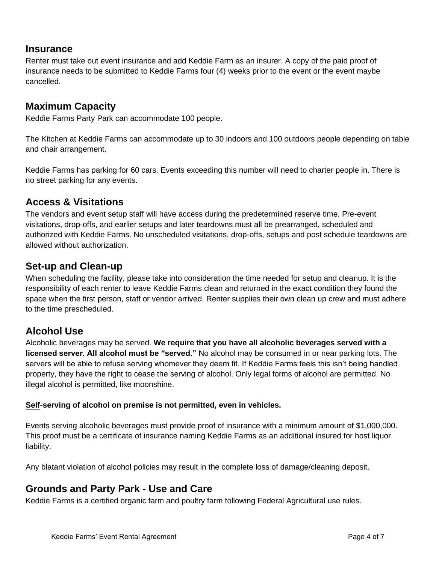#### **Insurance**

Renter must take out event insurance and add Keddie Farm as an insurer. A copy of the paid proof of insurance needs to be submitted to Keddie Farms four (4) weeks prior to the event or the event maybe cancelled.

#### **Maximum Capacity**

Keddie Farms Party Park can accommodate 100 people.

The Kitchen at Keddie Farms can accommodate up to 30 indoors and 100 outdoors people depending on table and chair arrangement.

Keddie Farms has parking for 60 cars. Events exceeding this number will need to charter people in. There is no street parking for any events.

#### **Access & Visitations**

The vendors and event setup staff will have access during the predetermined reserve time. Pre-event visitations, drop-offs, and earlier setups and later teardowns must all be prearranged, scheduled and authorized with Keddie Farms. No unscheduled visitations, drop-offs, setups and post schedule teardowns are allowed without authorization.

#### **Set-up and Clean-up**

When scheduling the facility, please take into consideration the time needed for setup and cleanup. It is the responsibility of each renter to leave Keddie Farms clean and returned in the exact condition they found the space when the first person, staff or vendor arrived. Renter supplies their own clean up crew and must adhere to the time prescheduled.

## **Alcohol Use**

Alcoholic beverages may be served. **We require that you have all alcoholic beverages served with a licensed server. All alcohol must be "served."** No alcohol may be consumed in or near parking lots. The servers will be able to refuse serving whomever they deem fit. If Keddie Farms feels this isn't being handled property, they have the right to cease the serving of alcohol. Only legal forms of alcohol are permitted. No illegal alcohol is permitted, like moonshine.

#### **Self-serving of alcohol on premise is not permitted, even in vehicles.**

Events serving alcoholic beverages must provide proof of insurance with a minimum amount of \$1,000,000. This proof must be a certificate of insurance naming Keddie Farms as an additional insured for host liquor liability.

Any blatant violation of alcohol policies may result in the complete loss of damage/cleaning deposit.

## **Grounds and Party Park - Use and Care**

Keddie Farms is a certified organic farm and poultry farm following Federal Agricultural use rules.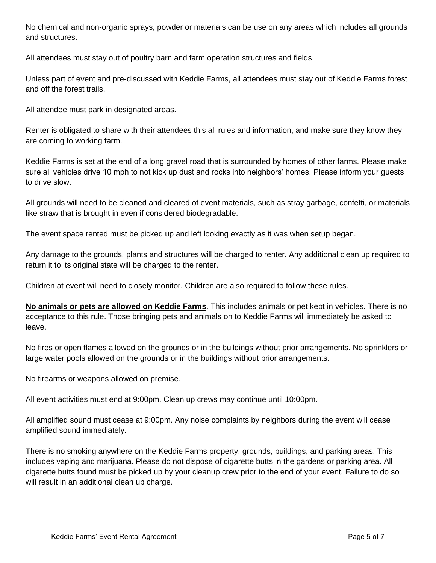No chemical and non-organic sprays, powder or materials can be use on any areas which includes all grounds and structures.

All attendees must stay out of poultry barn and farm operation structures and fields.

Unless part of event and pre-discussed with Keddie Farms, all attendees must stay out of Keddie Farms forest and off the forest trails.

All attendee must park in designated areas.

Renter is obligated to share with their attendees this all rules and information, and make sure they know they are coming to working farm.

Keddie Farms is set at the end of a long gravel road that is surrounded by homes of other farms. Please make sure all vehicles drive 10 mph to not kick up dust and rocks into neighbors' homes. Please inform your guests to drive slow.

All grounds will need to be cleaned and cleared of event materials, such as stray garbage, confetti, or materials like straw that is brought in even if considered biodegradable.

The event space rented must be picked up and left looking exactly as it was when setup began.

Any damage to the grounds, plants and structures will be charged to renter. Any additional clean up required to return it to its original state will be charged to the renter.

Children at event will need to closely monitor. Children are also required to follow these rules.

**No animals or pets are allowed on Keddie Farms**. This includes animals or pet kept in vehicles. There is no acceptance to this rule. Those bringing pets and animals on to Keddie Farms will immediately be asked to leave.

No fires or open flames allowed on the grounds or in the buildings without prior arrangements. No sprinklers or large water pools allowed on the grounds or in the buildings without prior arrangements.

No firearms or weapons allowed on premise.

All event activities must end at 9:00pm. Clean up crews may continue until 10:00pm.

All amplified sound must cease at 9:00pm. Any noise complaints by neighbors during the event will cease amplified sound immediately.

There is no smoking anywhere on the Keddie Farms property, grounds, buildings, and parking areas. This includes vaping and marijuana. Please do not dispose of cigarette butts in the gardens or parking area. All cigarette butts found must be picked up by your cleanup crew prior to the end of your event. Failure to do so will result in an additional clean up charge.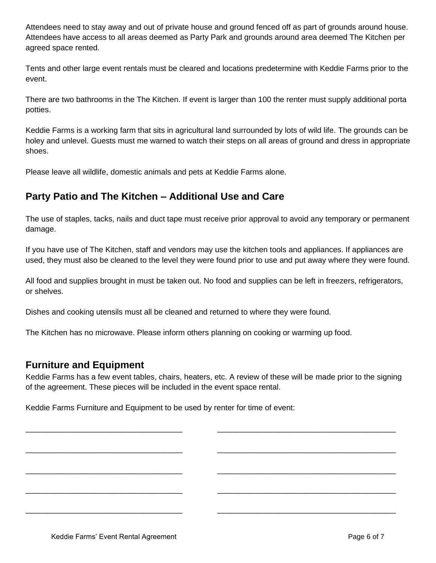Attendees need to stay away and out of private house and ground fenced off as part of grounds around house. Attendees have access to all areas deemed as Party Park and grounds around area deemed The Kitchen per agreed space rented.

Tents and other large event rentals must be cleared and locations predetermine with Keddie Farms prior to the event.

There are two bathrooms in the The Kitchen. If event is larger than 100 the renter must supply additional porta potties.

Keddie Farms is a working farm that sits in agricultural land surrounded by lots of wild life. The grounds can be holey and unlevel. Guests must me warned to watch their steps on all areas of ground and dress in appropriate shoes.

Please leave all wildlife, domestic animals and pets at Keddie Farms alone.

# **Party Patio and The Kitchen – Additional Use and Care**

The use of staples, tacks, nails and duct tape must receive prior approval to avoid any temporary or permanent damage.

If you have use of The Kitchen, staff and vendors may use the kitchen tools and appliances. If appliances are used, they must also be cleaned to the level they were found prior to use and put away where they were found.

All food and supplies brought in must be taken out. No food and supplies can be left in freezers, refrigerators, or shelves.

Dishes and cooking utensils must all be cleaned and returned to where they were found.

The Kitchen has no microwave. Please inform others planning on cooking or warming up food.

#### **Furniture and Equipment**

Keddie Farms has a few event tables, chairs, heaters, etc. A review of these will be made prior to the signing of the agreement. These pieces will be included in the event space rental.

\_\_\_\_\_\_\_\_\_\_\_\_\_\_\_\_\_\_\_\_\_\_\_\_\_\_\_\_\_\_\_\_\_\_\_\_ \_\_\_\_\_\_\_\_\_\_\_\_\_\_\_\_\_\_\_\_\_\_\_\_\_\_\_\_\_\_\_\_\_\_\_\_\_\_\_\_\_

\_\_\_\_\_\_\_\_\_\_\_\_\_\_\_\_\_\_\_\_\_\_\_\_\_\_\_\_\_\_\_\_\_\_\_\_ \_\_\_\_\_\_\_\_\_\_\_\_\_\_\_\_\_\_\_\_\_\_\_\_\_\_\_\_\_\_\_\_\_\_\_\_\_\_\_\_\_

\_\_\_\_\_\_\_\_\_\_\_\_\_\_\_\_\_\_\_\_\_\_\_\_\_\_\_\_\_\_\_\_\_\_\_\_ \_\_\_\_\_\_\_\_\_\_\_\_\_\_\_\_\_\_\_\_\_\_\_\_\_\_\_\_\_\_\_\_\_\_\_\_\_\_\_\_\_

\_\_\_\_\_\_\_\_\_\_\_\_\_\_\_\_\_\_\_\_\_\_\_\_\_\_\_\_\_\_\_\_\_\_\_\_ \_\_\_\_\_\_\_\_\_\_\_\_\_\_\_\_\_\_\_\_\_\_\_\_\_\_\_\_\_\_\_\_\_\_\_\_\_\_\_\_\_

\_\_\_\_\_\_\_\_\_\_\_\_\_\_\_\_\_\_\_\_\_\_\_\_\_\_\_\_\_\_\_\_\_\_\_\_ \_\_\_\_\_\_\_\_\_\_\_\_\_\_\_\_\_\_\_\_\_\_\_\_\_\_\_\_\_\_\_\_\_\_\_\_\_\_\_\_\_

Keddie Farms Furniture and Equipment to be used by renter for time of event: